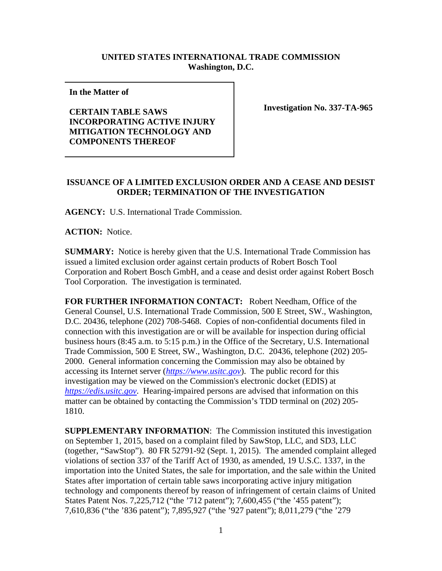## **UNITED STATES INTERNATIONAL TRADE COMMISSION Washington, D.C.**

**In the Matter of** 

## **CERTAIN TABLE SAWS INCORPORATING ACTIVE INJURY MITIGATION TECHNOLOGY AND COMPONENTS THEREOF**

**Investigation No. 337-TA-965**

## **ISSUANCE OF A LIMITED EXCLUSION ORDER AND A CEASE AND DESIST ORDER; TERMINATION OF THE INVESTIGATION**

**AGENCY:** U.S. International Trade Commission.

**ACTION:** Notice.

**SUMMARY:** Notice is hereby given that the U.S. International Trade Commission has issued a limited exclusion order against certain products of Robert Bosch Tool Corporation and Robert Bosch GmbH, and a cease and desist order against Robert Bosch Tool Corporation. The investigation is terminated.

**FOR FURTHER INFORMATION CONTACT:** Robert Needham, Office of the General Counsel, U.S. International Trade Commission, 500 E Street, SW., Washington, D.C. 20436, telephone (202) 708-5468. Copies of non-confidential documents filed in connection with this investigation are or will be available for inspection during official business hours (8:45 a.m. to 5:15 p.m.) in the Office of the Secretary, U.S. International Trade Commission, 500 E Street, SW., Washington, D.C. 20436, telephone (202) 205- 2000. General information concerning the Commission may also be obtained by accessing its Internet server (*https://www.usitc.gov*). The public record for this investigation may be viewed on the Commission's electronic docket (EDIS) at *https://edis.usitc.gov*. Hearing-impaired persons are advised that information on this matter can be obtained by contacting the Commission's TDD terminal on (202) 205- 1810.

**SUPPLEMENTARY INFORMATION**: The Commission instituted this investigation on September 1, 2015, based on a complaint filed by SawStop, LLC, and SD3, LLC (together, "SawStop"). 80 FR 52791-92 (Sept. 1, 2015). The amended complaint alleged violations of section 337 of the Tariff Act of 1930, as amended, 19 U.S.C. 1337, in the importation into the United States, the sale for importation, and the sale within the United States after importation of certain table saws incorporating active injury mitigation technology and components thereof by reason of infringement of certain claims of United States Patent Nos. 7,225,712 ("the '712 patent"); 7,600,455 ("the '455 patent"); 7,610,836 ("the '836 patent"); 7,895,927 ("the '927 patent"); 8,011,279 ("the '279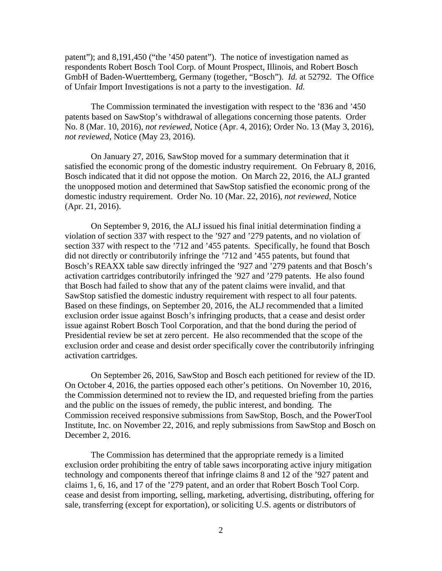patent"); and 8,191,450 ("the '450 patent"). The notice of investigation named as respondents Robert Bosch Tool Corp. of Mount Prospect, Illinois, and Robert Bosch GmbH of Baden-Wuerttemberg, Germany (together, "Bosch"). *Id.* at 52792. The Office of Unfair Import Investigations is not a party to the investigation. *Id.* 

The Commission terminated the investigation with respect to the '836 and '450 patents based on SawStop's withdrawal of allegations concerning those patents. Order No. 8 (Mar. 10, 2016), *not reviewed*, Notice (Apr. 4, 2016); Order No. 13 (May 3, 2016), *not reviewed*, Notice (May 23, 2016).

On January 27, 2016, SawStop moved for a summary determination that it satisfied the economic prong of the domestic industry requirement. On February 8, 2016, Bosch indicated that it did not oppose the motion. On March 22, 2016, the ALJ granted the unopposed motion and determined that SawStop satisfied the economic prong of the domestic industry requirement. Order No. 10 (Mar. 22, 2016), *not reviewed*, Notice (Apr. 21, 2016).

On September 9, 2016, the ALJ issued his final initial determination finding a violation of section 337 with respect to the '927 and '279 patents, and no violation of section 337 with respect to the '712 and '455 patents. Specifically, he found that Bosch did not directly or contributorily infringe the '712 and '455 patents, but found that Bosch's REAXX table saw directly infringed the '927 and '279 patents and that Bosch's activation cartridges contributorily infringed the '927 and '279 patents. He also found that Bosch had failed to show that any of the patent claims were invalid, and that SawStop satisfied the domestic industry requirement with respect to all four patents. Based on these findings, on September 20, 2016, the ALJ recommended that a limited exclusion order issue against Bosch's infringing products, that a cease and desist order issue against Robert Bosch Tool Corporation, and that the bond during the period of Presidential review be set at zero percent. He also recommended that the scope of the exclusion order and cease and desist order specifically cover the contributorily infringing activation cartridges.

On September 26, 2016, SawStop and Bosch each petitioned for review of the ID. On October 4, 2016, the parties opposed each other's petitions. On November 10, 2016, the Commission determined not to review the ID, and requested briefing from the parties and the public on the issues of remedy, the public interest, and bonding. The Commission received responsive submissions from SawStop, Bosch, and the PowerTool Institute, Inc. on November 22, 2016, and reply submissions from SawStop and Bosch on December 2, 2016.

The Commission has determined that the appropriate remedy is a limited exclusion order prohibiting the entry of table saws incorporating active injury mitigation technology and components thereof that infringe claims 8 and 12 of the '927 patent and claims 1, 6, 16, and 17 of the '279 patent, and an order that Robert Bosch Tool Corp. cease and desist from importing, selling, marketing, advertising, distributing, offering for sale, transferring (except for exportation), or soliciting U.S. agents or distributors of